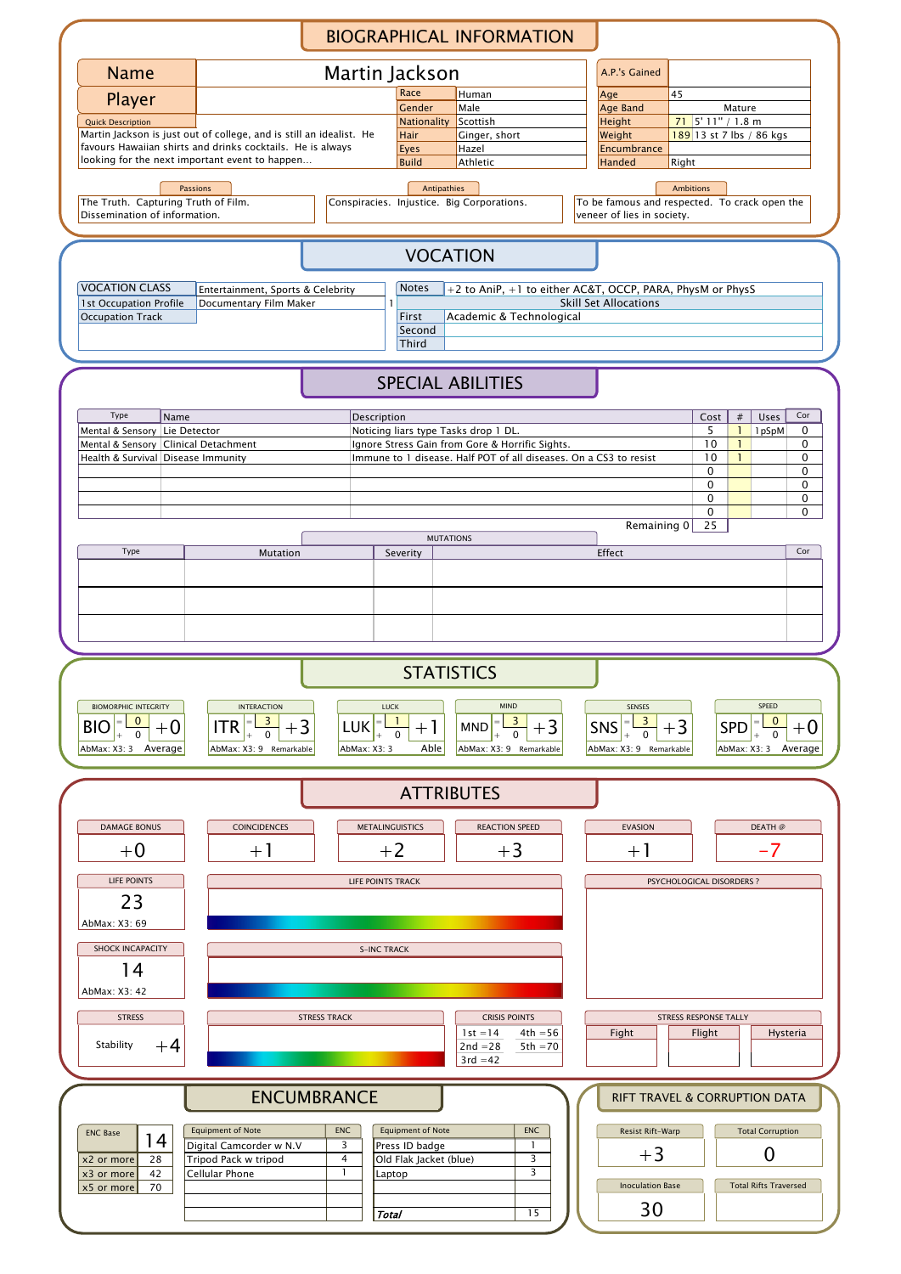